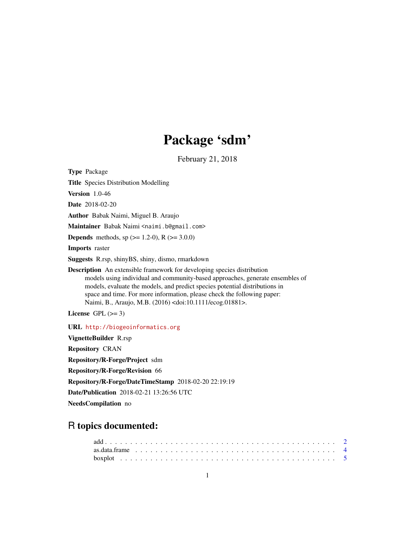# Package 'sdm'

February 21, 2018

<span id="page-0-0"></span>Type Package

Title Species Distribution Modelling

Version 1.0-46

Date 2018-02-20

Author Babak Naimi, Miguel B. Araujo

Maintainer Babak Naimi <naimi.b@gmail.com>

**Depends** methods, sp  $(>= 1.2-0)$ , R  $(>= 3.0.0)$ 

Imports raster

Suggests R.rsp, shinyBS, shiny, dismo, rmarkdown

Description An extensible framework for developing species distribution models using individual and community-based approaches, generate ensembles of models, evaluate the models, and predict species potential distributions in space and time. For more information, please check the following paper: Naimi, B., Araujo, M.B. (2016) <doi:10.1111/ecog.01881>.

License GPL  $(>= 3)$ 

URL <http://biogeoinformatics.org>

VignetteBuilder R.rsp Repository CRAN Repository/R-Forge/Project sdm Repository/R-Forge/Revision 66 Repository/R-Forge/DateTimeStamp 2018-02-20 22:19:19 Date/Publication 2018-02-21 13:26:56 UTC

NeedsCompilation no

# R topics documented: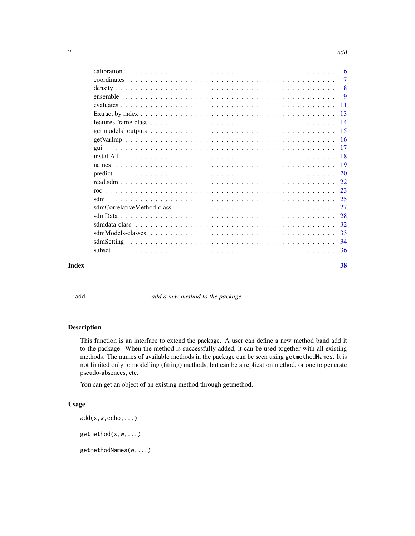<span id="page-1-0"></span>

| Index |  |  |  |  |  |  |  |  |  |  |  |  | 38 |
|-------|--|--|--|--|--|--|--|--|--|--|--|--|----|

<span id="page-1-1"></span>add a new method to the package

# Description

This function is an interface to extend the package. A user can define a new method band add it to the package. When the method is successfully added, it can be used together with all existing methods. The names of available methods in the package can be seen using getmethodNames. It is not limited only to modelling (fitting) methods, but can be a replication method, or one to generate pseudo-absences, etc.

You can get an object of an existing method through getmethod.

# Usage

```
add(x,w,echo,...)getmethod(x,w,...)
getmethodNames(w,...)
```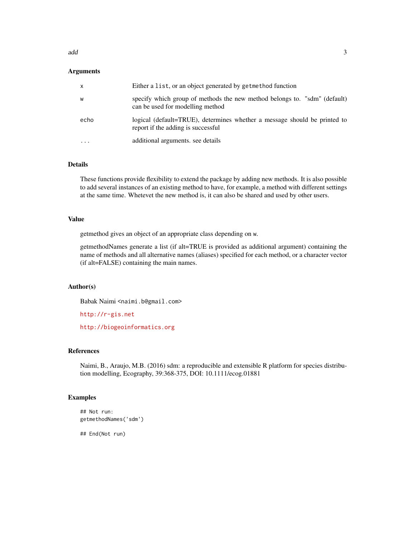#### add  $\overline{3}$

# Arguments

| $\mathsf{X}$ | Either a list, or an object generated by getmethod function                                                     |
|--------------|-----------------------------------------------------------------------------------------------------------------|
| W            | specify which group of methods the new method belongs to. "sdm" (default)<br>can be used for modelling method   |
| echo         | logical (default=TRUE), determines whether a message should be printed to<br>report if the adding is successful |
| .            | additional arguments. see details                                                                               |

# Details

These functions provide flexibility to extend the package by adding new methods. It is also possible to add several instances of an existing method to have, for example, a method with different settings at the same time. Whetevet the new method is, it can also be shared and used by other users.

# Value

getmethod gives an object of an appropriate class depending on w.

getmethodNames generate a list (if alt=TRUE is provided as additional argument) containing the name of methods and all alternative names (aliases) specified for each method, or a character vector (if alt=FALSE) containing the main names.

# Author(s)

Babak Naimi <naimi.b@gmail.com>

<http://r-gis.net>

<http://biogeoinformatics.org>

# References

Naimi, B., Araujo, M.B. (2016) sdm: a reproducible and extensible R platform for species distribution modelling, Ecography, 39:368-375, DOI: 10.1111/ecog.01881

# Examples

```
## Not run:
getmethodNames('sdm')
```
## End(Not run)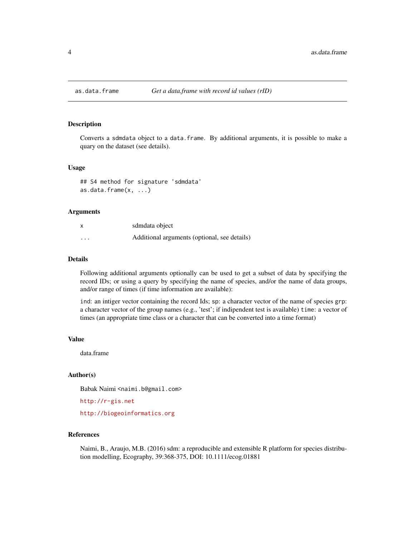<span id="page-3-0"></span>

#### Description

Converts a sdmdata object to a data.frame. By additional arguments, it is possible to make a quary on the dataset (see details).

#### Usage

```
## S4 method for signature 'sdmdata'
as.data.frame(x, ...)
```
# Arguments

| X        | sdmdata object                               |
|----------|----------------------------------------------|
| $\cdots$ | Additional arguments (optional, see details) |

#### Details

Following additional arguments optionally can be used to get a subset of data by specifying the record IDs; or using a query by specifying the name of species, and/or the name of data groups, and/or range of times (if time information are available):

ind: an intiger vector containing the record Ids; sp: a character vector of the name of species grp: a character vector of the group names (e.g., 'test'; if indipendent test is available) time: a vector of times (an appropriate time class or a character that can be converted into a time format)

#### Value

data.frame

#### Author(s)

Babak Naimi <naimi.b@gmail.com>

<http://r-gis.net>

<http://biogeoinformatics.org>

# References

Naimi, B., Araujo, M.B. (2016) sdm: a reproducible and extensible R platform for species distribution modelling, Ecography, 39:368-375, DOI: 10.1111/ecog.01881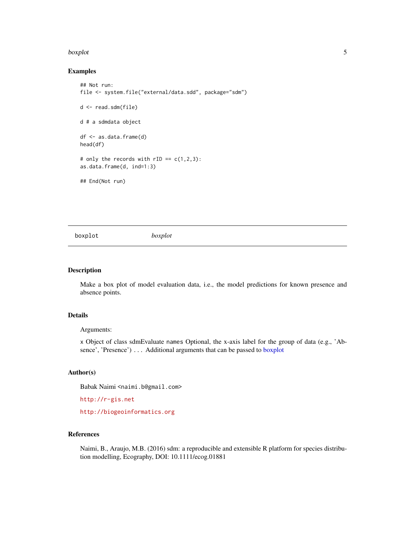#### <span id="page-4-0"></span>boxplot 5

# Examples

```
## Not run:
file <- system.file("external/data.sdd", package="sdm")
d <- read.sdm(file)
d # a sdmdata object
df <- as.data.frame(d)
head(df)
# only the records with rID = c(1,2,3):
as.data.frame(d, ind=1:3)
## End(Not run)
```
<span id="page-4-1"></span>boxplot *boxplot*

#### Description

Make a box plot of model evaluation data, i.e., the model predictions for known presence and absence points.

# Details

# Arguments:

x Object of class sdmEvaluate names Optional, the x-axis label for the group of data (e.g., 'Absence', 'Presence') ... Additional arguments that can be passed to [boxplot](#page-4-1)

# Author(s)

Babak Naimi <naimi.b@gmail.com>

<http://r-gis.net>

<http://biogeoinformatics.org>

# References

Naimi, B., Araujo, M.B. (2016) sdm: a reproducible and extensible R platform for species distribution modelling, Ecography, DOI: 10.1111/ecog.01881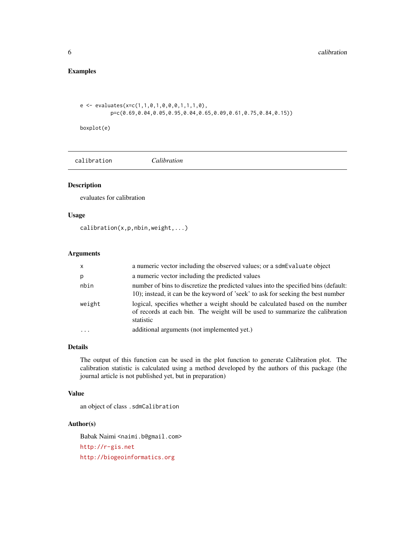# <span id="page-5-0"></span>Examples

```
e \leftarrow \text{evaluates}(x=c(1,1,0,1,0,0,0,1,1,1,0),p=c(0.69,0.04,0.05,0.95,0.04,0.65,0.09,0.61,0.75,0.84,0.15))
```
boxplot(e)

calibration *Calibration*

# Description

evaluates for calibration

# Usage

calibration(x,p,nbin,weight,...)

# Arguments

| $\times$ | a numeric vector including the observed values; or a sdmEvaluate object                                                                                                   |
|----------|---------------------------------------------------------------------------------------------------------------------------------------------------------------------------|
| р        | a numeric vector including the predicted values                                                                                                                           |
| nbin     | number of bins to discretize the predicted values into the specified bins (default:<br>10); instead, it can be the keyword of 'seek' to ask for seeking the best number   |
| weight   | logical, specifies whether a weight should be calculated based on the number<br>of records at each bin. The weight will be used to summarize the calibration<br>statistic |
| .        | additional arguments (not implemented yet.)                                                                                                                               |

# Details

The output of this function can be used in the plot function to generate Calibration plot. The calibration statistic is calculated using a method developed by the authors of this package (the journal article is not published yet, but in preparation)

# Value

an object of class .sdmCalibration

# Author(s)

Babak Naimi <naimi.b@gmail.com>

<http://r-gis.net>

<http://biogeoinformatics.org>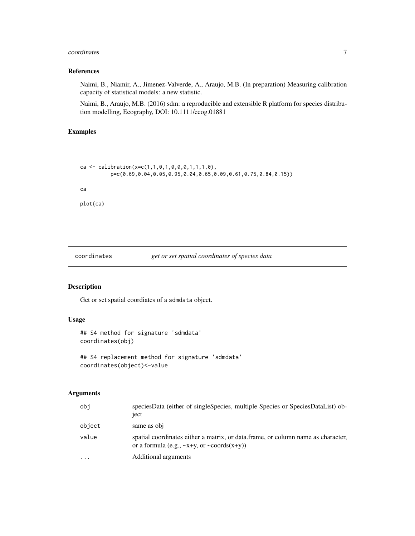#### <span id="page-6-0"></span>coordinates 7

# References

Naimi, B., Niamir, A., Jimenez-Valverde, A., Araujo, M.B. (In preparation) Measuring calibration capacity of statistical models: a new statistic.

Naimi, B., Araujo, M.B. (2016) sdm: a reproducible and extensible R platform for species distribution modelling, Ecography, DOI: 10.1111/ecog.01881

# Examples

```
ca <- calibration(x=c(1,1,0,1,0,0,0,1,1,1,0),
          p=c(0.69,0.04,0.05,0.95,0.04,0.65,0.09,0.61,0.75,0.84,0.15))
ca
plot(ca)
```
# coordinates *get or set spatial coordinates of species data*

# Description

Get or set spatial coordiates of a sdmdata object.

# Usage

```
## S4 method for signature 'sdmdata'
coordinates(obj)
```

```
## S4 replacement method for signature 'sdmdata'
coordinates(object)<-value
```
#### Arguments

| obi       | speciesData (either of singleSpecies, multiple Species or SpeciesDataList) ob-<br>ject                                                     |
|-----------|--------------------------------------------------------------------------------------------------------------------------------------------|
| object    | same as obj                                                                                                                                |
| value     | spatial coordinates either a matrix, or data frame, or column name as character,<br>or a formula (e.g., $\sim$ x+y, or $\sim$ coords(x+y)) |
| $\ddotsc$ | Additional arguments                                                                                                                       |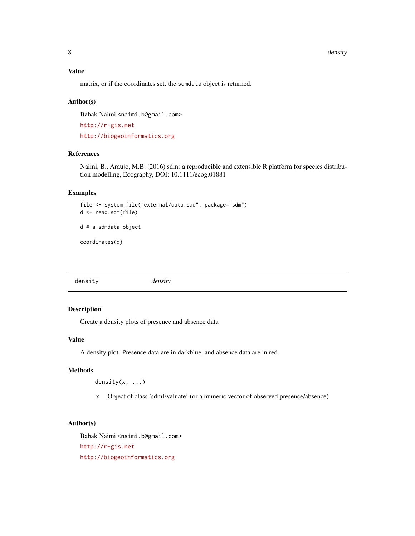<span id="page-7-0"></span>8 density and the set of the set of the set of the set of the set of the set of the set of the set of the set of the set of the set of the set of the set of the set of the set of the set of the set of the set of the set of

# Value

matrix, or if the coordinates set, the sdmdata object is returned.

#### Author(s)

Babak Naimi <naimi.b@gmail.com>

<http://r-gis.net> <http://biogeoinformatics.org>

#### References

Naimi, B., Araujo, M.B. (2016) sdm: a reproducible and extensible R platform for species distribution modelling, Ecography, DOI: 10.1111/ecog.01881

# Examples

```
file <- system.file("external/data.sdd", package="sdm")
d <- read.sdm(file)
```
d # a sdmdata object

coordinates(d)

density *density*

# Description

Create a density plots of presence and absence data

# Value

A density plot. Presence data are in darkblue, and absence data are in red.

#### Methods

density(x, ...)

x Object of class 'sdmEvaluate' (or a numeric vector of observed presence/absence)

# Author(s)

Babak Naimi <naimi.b@gmail.com> <http://r-gis.net> <http://biogeoinformatics.org>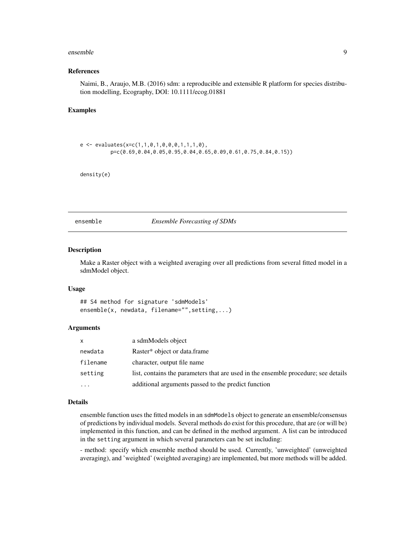#### <span id="page-8-0"></span>ensemble 9

#### References

Naimi, B., Araujo, M.B. (2016) sdm: a reproducible and extensible R platform for species distribution modelling, Ecography, DOI: 10.1111/ecog.01881

# Examples

```
e \leftarrow \text{evaluates}(x=c(1,1,0,1,0,0,0,1,1,1,0),p=c(0.69,0.04,0.05,0.95,0.04,0.65,0.09,0.61,0.75,0.84,0.15))
```
density(e)

ensemble *Ensemble Forecasting of SDMs*

#### Description

Make a Raster object with a weighted averaging over all predictions from several fitted model in a sdmModel object.

#### Usage

## S4 method for signature 'sdmModels' ensemble(x, newdata, filename="", setting,...)

# Arguments

| X        | a sdmModels object                                                                 |
|----------|------------------------------------------------------------------------------------|
| newdata  | Raster* object or data.frame                                                       |
| filename | character, output file name                                                        |
| setting  | list, contains the parameters that are used in the ensemble procedure; see details |
| $\cdots$ | additional arguments passed to the predict function                                |

# Details

ensemble function uses the fitted models in an sdmModels object to generate an ensemble/consensus of predictions by individual models. Several methods do exist for this procedure, that are (or will be) implemented in this function, and can be defined in the method argument. A list can be introduced in the setting argument in which several parameters can be set including:

- method: specify which ensemble method should be used. Currently, 'unweighted' (unweighted averaging), and 'weighted' (weighted averaging) are implemented, but more methods will be added.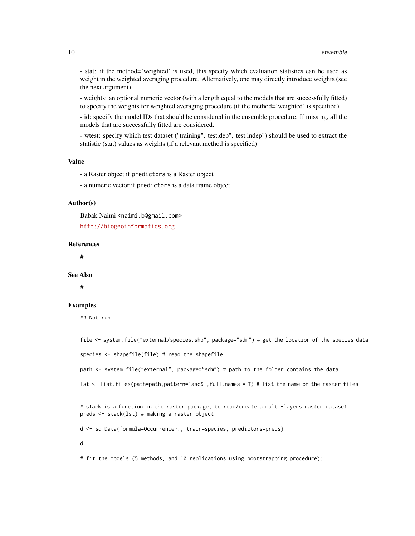- stat: if the method='weighted' is used, this specify which evaluation statistics can be used as weight in the weighted averaging procedure. Alternatively, one may directly introduce weights (see the next argument)

- weights: an optional numeric vector (with a length equal to the models that are successfully fitted) to specify the weights for weighted averaging procedure (if the method='weighted' is specified)

- id: specify the model IDs that should be considered in the ensemble procedure. If missing, all the models that are successfully fitted are considered.

- wtest: specify which test dataset ("training","test.dep","test.indep") should be used to extract the statistic (stat) values as weights (if a relevant method is specified)

#### Value

- a Raster object if predictors is a Raster object

- a numeric vector if predictors is a data.frame object

#### Author(s)

Babak Naimi <naimi.b@gmail.com>

<http://biogeoinformatics.org>

#### References

#

#### See Also

#

# Examples

## Not run:

file <- system.file("external/species.shp", package="sdm") # get the location of the species data

species <- shapefile(file) # read the shapefile

path <- system.file("external", package="sdm") # path to the folder contains the data

lst <- list.files(path=path,pattern='asc\$',full.names = T) # list the name of the raster files

# stack is a function in the raster package, to read/create a multi-layers raster dataset preds <- stack(lst) # making a raster object

d <- sdmData(formula=Occurrence~., train=species, predictors=preds)

d

# fit the models (5 methods, and 10 replications using bootstrapping procedure):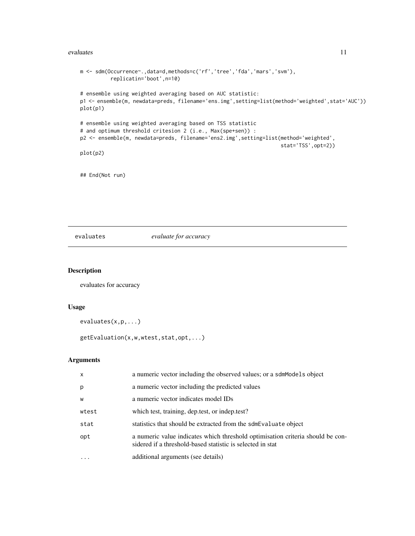#### <span id="page-10-0"></span>evaluates and the set of the set of the set of the set of the set of the set of the set of the set of the set of the set of the set of the set of the set of the set of the set of the set of the set of the set of the set of

```
m <- sdm(Occurrence~.,data=d,methods=c('rf','tree','fda','mars','svm'),
          replicatin='boot',n=10)
# ensemble using weighted averaging based on AUC statistic:
p1 <- ensemble(m, newdata=preds, filename='ens.img',setting=list(method='weighted',stat='AUC'))
plot(p1)
# ensemble using weighted averaging based on TSS statistic
# and optimum threshold critesion 2 (i.e., Max(spe+sen)) :
p2 <- ensemble(m, newdata=preds, filename='ens2.img',setting=list(method='weighted',
                                                                  stat='TSS',opt=2))
plot(p2)
```
## End(Not run)

# evaluates *evaluate for accuracy*

# Description

evaluates for accuracy

#### Usage

```
evaluates(x,p,...)
```
getEvaluation(x,w,wtest,stat,opt,...)

#### Arguments

| x     | a numeric vector including the observed values; or a sdmModels object                                                                        |
|-------|----------------------------------------------------------------------------------------------------------------------------------------------|
| p     | a numeric vector including the predicted values                                                                                              |
| W     | a numeric vector indicates model IDs                                                                                                         |
| wtest | which test, training, dep.test, or indep.test?                                                                                               |
| stat  | statistics that should be extracted from the sdmEvaluate object                                                                              |
| opt   | a numeric value indicates which threshold optimisation criteria should be con-<br>sidered if a threshold-based statistic is selected in stat |
|       | additional arguments (see details)                                                                                                           |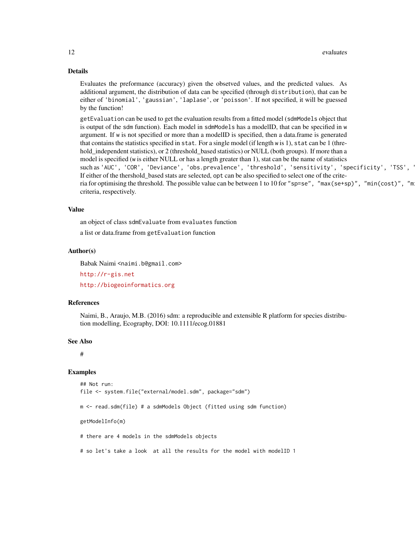# Details

Evaluates the preformance (accuracy) given the obsetved values, and the predicted values. As additional argument, the distribution of data can be specified (through distribution), that can be either of 'binomial', 'gaussian', 'laplase', or 'poisson'. If not specified, it will be guessed by the function!

getEvaluation can be used to get the evaluation results from a fitted model (sdmModels object that is output of the sdm function). Each model in sdmModels has a modelID, that can be specified in w argument. If w is not specified or more than a modelID is specified, then a data.frame is generated that contains the statistics specified in stat. For a single model (if length w is 1), stat can be 1 (threhold\_independent statistics), or 2 (threshold\_based statistics) or NULL (both groups). If more than a model is specified (w is either NULL or has a length greater than 1), stat can be the name of statistics such as 'AUC', 'COR', 'Deviance', 'obs.prevalence', 'threshold', 'sensitivity', 'specificity', 'TSS', ' If either of the thershold\_based stats are selected, opt can be also specified to select one of the criteria for optimising the threshold. The possible value can be between 1 to 10 for "sp=se", "max(se+sp)", "min(cost)", "m criteria, respectively.

#### Value

an object of class sdmEvaluate from evaluates function

a list or data.frame from getEvaluation function

#### Author(s)

Babak Naimi <naimi.b@gmail.com>

<http://r-gis.net>

<http://biogeoinformatics.org>

#### References

Naimi, B., Araujo, M.B. (2016) sdm: a reproducible and extensible R platform for species distribution modelling, Ecography, DOI: 10.1111/ecog.01881

#### See Also

#

#### Examples

```
## Not run:
file <- system.file("external/model.sdm", package="sdm")
```
m <- read.sdm(file) # a sdmModels Object (fitted using sdm function)

getModelInfo(m)

# there are 4 models in the sdmModels objects

# so let's take a look at all the results for the model with modelID 1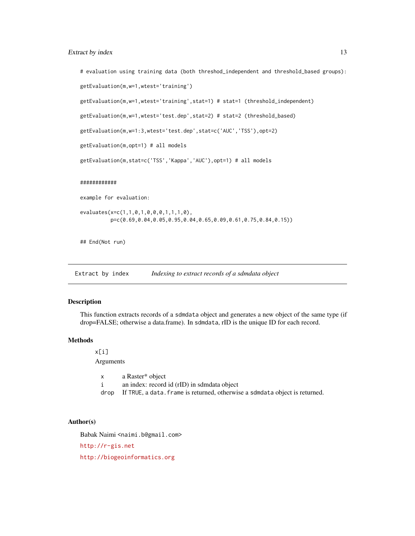# <span id="page-12-0"></span>Extract by index 13

```
# evaluation using training data (both threshod_independent and threshold_based groups):
getEvaluation(m,w=1,wtest='training')
getEvaluation(m,w=1,wtest='training',stat=1) # stat=1 (threshold_independent)
getEvaluation(m,w=1,wtest='test.dep',stat=2) # stat=2 (threshold_based)
getEvaluation(m,w=1:3,wtest='test.dep',stat=c('AUC','TSS'),opt=2)
getEvaluation(m,opt=1) # all models
getEvaluation(m,stat=c('TSS','Kappa','AUC'),opt=1) # all models
############
example for evaluation:
evaluates(x=c(1,1,0,1,0,0,0,1,1,1,0),
          p=c(0.69,0.04,0.05,0.95,0.04,0.65,0.09,0.61,0.75,0.84,0.15))
## End(Not run)
```
Extract by index *Indexing to extract records of a sdmdata object* 

#### Description

This function extracts records of a sdmdata object and generates a new object of the same type (if drop=FALSE; otherwise a data.frame). In sdmdata, rID is the unique ID for each record.

# **Methods**

x[i] Arguments

> x a Raster\* object i an index: record id (rID) in sdmdata object drop If TRUE, a data. frame is returned, otherwise a sdmdata object is returned.

# Author(s)

Babak Naimi <naimi.b@gmail.com>

<http://r-gis.net>

<http://biogeoinformatics.org>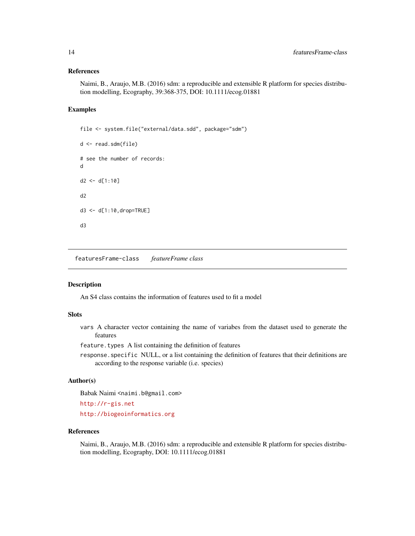#### References

Naimi, B., Araujo, M.B. (2016) sdm: a reproducible and extensible R platform for species distribution modelling, Ecography, 39:368-375, DOI: 10.1111/ecog.01881

#### Examples

```
file <- system.file("external/data.sdd", package="sdm")
d <- read.sdm(file)
# see the number of records:
d
d2 < -d[1:10]d2
d3 <- d[1:10,drop=TRUE]
d3
```
featuresFrame-class *featureFrame class*

# Description

An S4 class contains the information of features used to fit a model

#### Slots

vars A character vector containing the name of variabes from the dataset used to generate the features

feature.types A list containing the definition of features

response.specific NULL, or a list containing the definition of features that their definitions are according to the response variable (i.e. species)

# Author(s)

Babak Naimi <naimi.b@gmail.com> <http://r-gis.net>

<http://biogeoinformatics.org>

# References

Naimi, B., Araujo, M.B. (2016) sdm: a reproducible and extensible R platform for species distribution modelling, Ecography, DOI: 10.1111/ecog.01881

<span id="page-13-0"></span>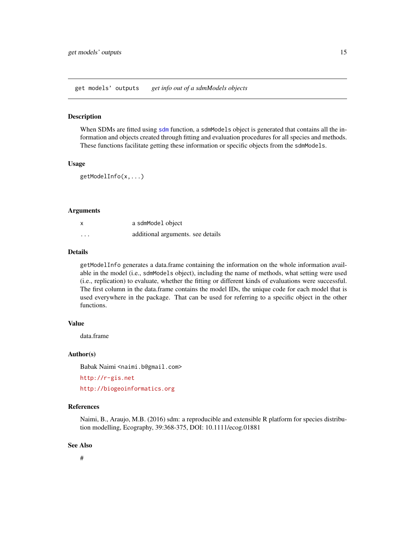<span id="page-14-0"></span>get models' outputs *get info out of a sdmModels objects*

#### Description

When SDMs are fitted using [sdm](#page-24-1) function, a sdmModels object is generated that contains all the information and objects created through fitting and evaluation procedures for all species and methods. These functions facilitate getting these information or specific objects from the sdmModels.

# Usage

```
getModelInfo(x,...)
```
#### Arguments

| x       | a sdmModel object                 |
|---------|-----------------------------------|
| $\cdot$ | additional arguments, see details |

#### Details

getModelInfo generates a data.frame containing the information on the whole information available in the model (i.e., sdmModels object), including the name of methods, what setting were used (i.e., replication) to evaluate, whether the fitting or different kinds of evaluations were successful. The first column in the data.frame contains the model IDs, the unique code for each model that is used everywhere in the package. That can be used for referring to a specific object in the other functions.

# Value

data.frame

# Author(s)

Babak Naimi <naimi.b@gmail.com>

<http://r-gis.net>

<http://biogeoinformatics.org>

#### References

Naimi, B., Araujo, M.B. (2016) sdm: a reproducible and extensible R platform for species distribution modelling, Ecography, 39:368-375, DOI: 10.1111/ecog.01881

#### See Also

#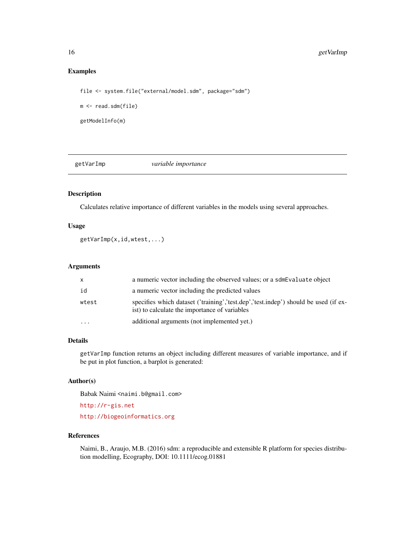# <span id="page-15-0"></span>Examples

```
file <- system.file("external/model.sdm", package="sdm")
m <- read.sdm(file)
getModelInfo(m)
```
getVarImp *variable importance*

# Description

Calculates relative importance of different variables in the models using several approaches.

# Usage

getVarImp(x,id,wtest,...)

# Arguments

| X        | a numeric vector including the observed values; or a sdm Evaluate object                                                             |
|----------|--------------------------------------------------------------------------------------------------------------------------------------|
| id       | a numeric vector including the predicted values                                                                                      |
| wtest    | specifies which dataset ('training','test.dep','test.indep') should be used (if ex-<br>ist) to calculate the importance of variables |
| $\cdots$ | additional arguments (not implemented yet.)                                                                                          |

# Details

getVarImp function returns an object including different measures of variable importance, and if be put in plot function, a barplot is generated:

# Author(s)

Babak Naimi <naimi.b@gmail.com>

<http://r-gis.net>

<http://biogeoinformatics.org>

# References

Naimi, B., Araujo, M.B. (2016) sdm: a reproducible and extensible R platform for species distribution modelling, Ecography, DOI: 10.1111/ecog.01881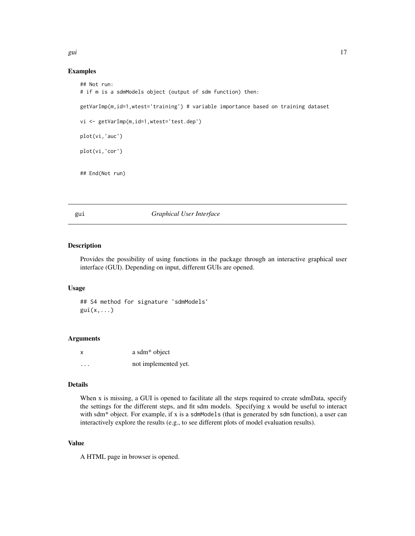# <span id="page-16-0"></span>Examples

```
## Not run:
# if m is a sdmModels object (output of sdm function) then:
getVarImp(m,id=1,wtest='training') # variable importance based on training dataset
vi <- getVarImp(m,id=1,wtest='test.dep')
plot(vi,'auc')
plot(vi,'cor')
## End(Not run)
```
gui *Graphical User Interface*

# Description

Provides the possibility of using functions in the package through an interactive graphical user interface (GUI). Depending on input, different GUIs are opened.

#### Usage

## S4 method for signature 'sdmModels'  $gui(x,...)$ 

# Arguments

| x                    | a sdm <sup>*</sup> object |
|----------------------|---------------------------|
| $\ddot{\phantom{0}}$ | not implemented yet.      |

# Details

When x is missing, a GUI is opened to facilitate all the steps required to create sdmData, specify the settings for the different steps, and fit sdm models. Specifying x would be useful to interact with sdm $*$  object. For example, if x is a sdmModels (that is generated by sdm function), a user can interactively explore the results (e.g., to see different plots of model evaluation results).

# Value

A HTML page in browser is opened.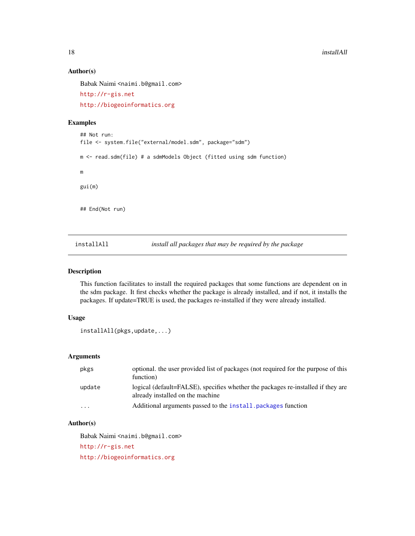18 installAll

# Author(s)

Babak Naimi <naimi.b@gmail.com>

<http://r-gis.net>

<http://biogeoinformatics.org>

# Examples

```
## Not run:
file <- system.file("external/model.sdm", package="sdm")
m <- read.sdm(file) # a sdmModels Object (fitted using sdm function)
m
gui(m)
## End(Not run)
```
<span id="page-17-1"></span>installAll *install all packages that may be required by the package*

# Description

This function facilitates to install the required packages that some functions are dependent on in the sdm package. It first checks whether the package is already installed, and if not, it installs the packages. If update=TRUE is used, the packages re-installed if they were already installed.

# Usage

```
installAll(pkgs,update,...)
```
# Arguments

| pkgs                    | optional, the user provided list of packages (not required for the purpose of this<br>function)                      |
|-------------------------|----------------------------------------------------------------------------------------------------------------------|
| update                  | logical (default=FALSE), specifies whether the packages re-installed if they are<br>already installed on the machine |
| $\cdot$ $\cdot$ $\cdot$ | Additional arguments passed to the install, packages function                                                        |

# Author(s)

Babak Naimi <naimi.b@gmail.com>

<http://r-gis.net>

<http://biogeoinformatics.org>

<span id="page-17-0"></span>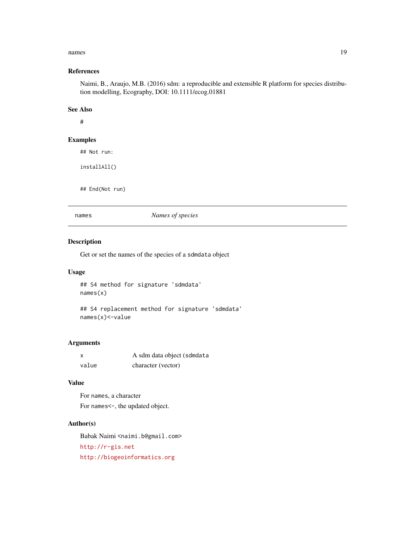#### <span id="page-18-0"></span>names and the contract of the contract of the contract of the contract of the contract of the contract of the contract of the contract of the contract of the contract of the contract of the contract of the contract of the

# References

Naimi, B., Araujo, M.B. (2016) sdm: a reproducible and extensible R platform for species distribution modelling, Ecography, DOI: 10.1111/ecog.01881

# See Also

#

#### Examples

## Not run:

installAll()

## End(Not run)

names *Names of species*

# Description

Get or set the names of the species of a sdmdata object

# Usage

## S4 method for signature 'sdmdata' names(x)

## S4 replacement method for signature 'sdmdata' names(x)<-value

# Arguments

| X     | A sdm data object (sdmdata |
|-------|----------------------------|
| value | character (vector)         |

# Value

For names, a character For names<-, the updated object.

# Author(s)

Babak Naimi <naimi.b@gmail.com> <http://r-gis.net> <http://biogeoinformatics.org>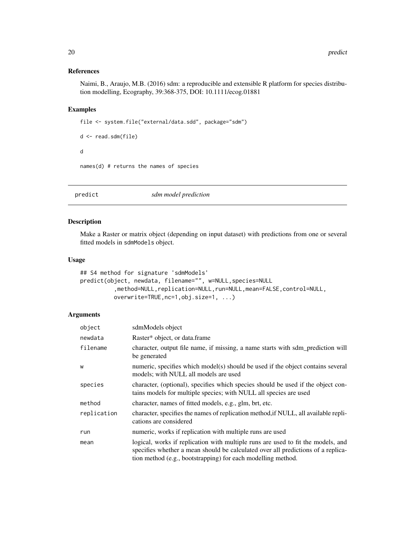# <span id="page-19-0"></span>References

Naimi, B., Araujo, M.B. (2016) sdm: a reproducible and extensible R platform for species distribution modelling, Ecography, 39:368-375, DOI: 10.1111/ecog.01881

# Examples

```
file <- system.file("external/data.sdd", package="sdm")
```

```
d <- read.sdm(file)
d
names(d) # returns the names of species
```

| predict | sdm model prediction |  |
|---------|----------------------|--|
|---------|----------------------|--|

# Description

Make a Raster or matrix object (depending on input dataset) with predictions from one or several fitted models in sdmModels object.

# Usage

```
## S4 method for signature 'sdmModels'
predict(object, newdata, filename="", w=NULL,species=NULL
          ,method=NULL,replication=NULL,run=NULL,mean=FALSE,control=NULL,
          overwrite=TRUE,nc=1,obj.size=1, ...)
```
# Arguments

| object      | sdmModels object                                                                                                                                                                                                                     |
|-------------|--------------------------------------------------------------------------------------------------------------------------------------------------------------------------------------------------------------------------------------|
| newdata     | Raster* object, or data.frame                                                                                                                                                                                                        |
| filename    | character, output file name, if missing, a name starts with sdm_prediction will<br>be generated                                                                                                                                      |
| W           | numeric, specifies which model(s) should be used if the object contains several<br>models; with NULL all models are used                                                                                                             |
| species     | character, (optional), specifies which species should be used if the object con-<br>tains models for multiple species; with NULL all species are used                                                                                |
| method      | character, names of fitted models, e.g., glm, brt, etc.                                                                                                                                                                              |
| replication | character, specifies the names of replication method, if NULL, all available repli-<br>cations are considered                                                                                                                        |
| run         | numeric, works if replication with multiple runs are used                                                                                                                                                                            |
| mean        | logical, works if replication with multiple runs are used to fit the models, and<br>specifies whether a mean should be calculated over all predictions of a replica-<br>tion method (e.g., bootstrapping) for each modelling method. |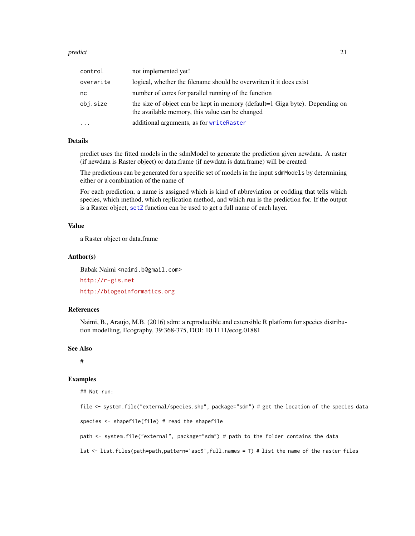#### <span id="page-20-0"></span>predict 21

| control   | not implemented yet!                                                                                                            |
|-----------|---------------------------------------------------------------------------------------------------------------------------------|
| overwrite | logical, whether the filename should be overwriten it it does exist                                                             |
| nc        | number of cores for parallel running of the function                                                                            |
| obj.size  | the size of object can be kept in memory (default=1 Giga byte). Depending on<br>the available memory, this value can be changed |
| $\cdots$  | additional arguments, as for writeRaster                                                                                        |

#### Details

predict uses the fitted models in the sdmModel to generate the prediction given newdata. A raster (if newdata is Raster object) or data.frame (if newdata is data.frame) will be created.

The predictions can be generated for a specific set of models in the input sdmModels by determining either or a combination of the name of

For each prediction, a name is assigned which is kind of abbreviation or codding that tells which species, which method, which replication method, and which run is the prediction for. If the output is a Raster object, [setZ](#page-0-0) function can be used to get a full name of each layer.

# Value

a Raster object or data.frame

#### Author(s)

Babak Naimi <naimi.b@gmail.com>

<http://r-gis.net> <http://biogeoinformatics.org>

# References

Naimi, B., Araujo, M.B. (2016) sdm: a reproducible and extensible R platform for species distribution modelling, Ecography, 39:368-375, DOI: 10.1111/ecog.01881

#### See Also

#

# Examples

## Not run:

file <- system.file("external/species.shp", package="sdm") # get the location of the species data

```
species <- shapefile(file) # read the shapefile
```
path <- system.file("external", package="sdm") # path to the folder contains the data

lst <- list.files(path=path,pattern='asc\$',full.names = T) # list the name of the raster files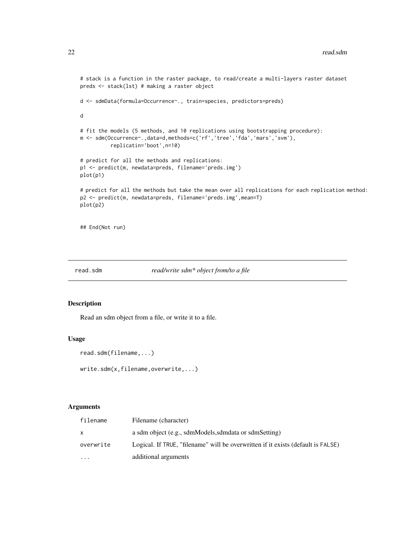```
# stack is a function in the raster package, to read/create a multi-layers raster dataset
preds <- stack(lst) # making a raster object
d <- sdmData(formula=Occurrence~., train=species, predictors=preds)
d
# fit the models (5 methods, and 10 replications using bootstrapping procedure):
m <- sdm(Occurrence~.,data=d,methods=c('rf','tree','fda','mars','svm'),
          replicatin='boot',n=10)
# predict for all the methods and replications:
p1 <- predict(m, newdata=preds, filename='preds.img')
plot(p1)
# predict for all the methods but take the mean over all replications for each replication method:
p2 <- predict(m, newdata=preds, filename='preds.img',mean=T)
plot(p2)
## End(Not run)
```

```
read.sdm read/write sdm* object from/to a file
```
#### Description

Read an sdm object from a file, or write it to a file.

#### Usage

```
read.sdm(filename,...)
```

```
write.sdm(x,filename,overwrite,...)
```
# Arguments

| filename  | Filename (character)                                                             |
|-----------|----------------------------------------------------------------------------------|
| X         | a sdm object (e.g., sdmModels, sdmdata or sdmSetting)                            |
| overwrite | Logical. If TRUE, "filename" will be overwritten if it exists (default is FALSE) |
| $\cdots$  | additional arguments                                                             |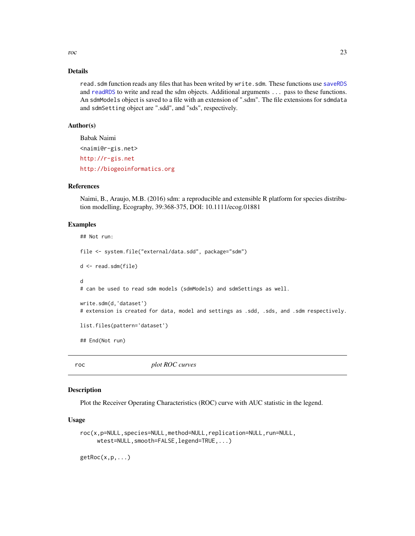<span id="page-22-0"></span>roc 23

# Details

read. sdm function reads any files that has been writed by write. sdm. These functions use [saveRDS](#page-0-0) and [readRDS](#page-0-0) to write and read the sdm objects. Additional arguments ... pass to these functions. An sdmModels object is saved to a file with an extension of ".sdm". The file extensions for sdmdata and sdmSetting object are ".sdd", and "sds", respectively.

# Author(s)

Babak Naimi <naimi@r-gis.net> <http://r-gis.net> <http://biogeoinformatics.org>

# References

Naimi, B., Araujo, M.B. (2016) sdm: a reproducible and extensible R platform for species distribution modelling, Ecography, 39:368-375, DOI: 10.1111/ecog.01881

# Examples

```
## Not run:
file <- system.file("external/data.sdd", package="sdm")
d <- read.sdm(file)
d
# can be used to read sdm models (sdmModels) and sdmSettings as well.
write.sdm(d,'dataset')
# extension is created for data, model and settings as .sdd, .sds, and .sdm respectively.
list.files(pattern='dataset')
## End(Not run)
```
roc *plot ROC curves*

# **Description**

Plot the Receiver Operating Characteristics (ROC) curve with AUC statistic in the legend.

# Usage

```
roc(x,p=NULL,species=NULL,method=NULL,replication=NULL,run=NULL,
     wtest=NULL,smooth=FALSE,legend=TRUE,...)
```
 $getRoc(x,p,...)$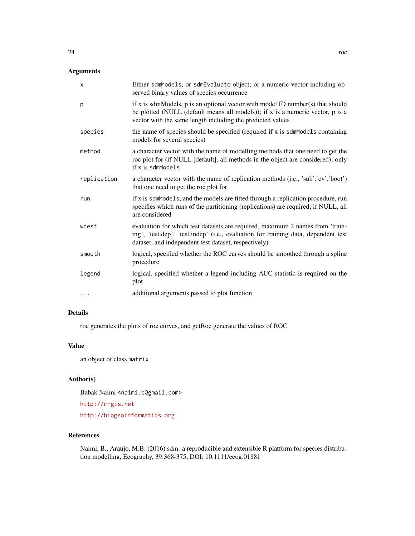# Arguments

| X           | Either sdmModels, or sdmEvaluate object; or a numeric vector including ob-<br>served binary values of species occurrence                                                                                                         |
|-------------|----------------------------------------------------------------------------------------------------------------------------------------------------------------------------------------------------------------------------------|
| p           | if x is sdmModels, $p$ is an optional vector with model ID number(s) that should<br>be plotted (NULL (default means all models)); if x is a numeric vector, p is a<br>vector with the same length including the predicted values |
| species     | the name of species should be specified (required if x is sdmModels containing<br>models for several species)                                                                                                                    |
| method      | a character vector with the name of modelling methods that one need to get the<br>roc plot for (if NULL [default], all methods in the object are considered); only<br>if x is sdmModels                                          |
| replication | a character vector with the name of replication methods (i.e., 'sub','cv','boot')<br>that one need to get the roc plot for                                                                                                       |
| run         | if x is sdmModels, and the models are fitted through a replication procedure, run<br>specifies which runs of the partitioning (replications) are required; if NULL, all<br>are considered                                        |
| wtest       | evaluation for which test datasets are required, maximum 2 names from 'train-<br>ing', 'test.dep', 'test.indep' (i.e., evaluation for training data, dependent test<br>dataset, and independent test dataset, respectively)      |
| smooth      | logical, specified whether the ROC curves should be smoothed through a spline<br>procedure                                                                                                                                       |
| legend      | logical, specified whether a legend including AUC statistic is required on the<br>plot                                                                                                                                           |
| .           | additional arguments passed to plot function                                                                                                                                                                                     |

# Details

roc generates the plots of roc curves, and getRoc generate the values of ROC

# Value

an object of class matrix

# Author(s)

Babak Naimi <naimi.b@gmail.com>

<http://r-gis.net>

<http://biogeoinformatics.org>

# References

Naimi, B., Araujo, M.B. (2016) sdm: a reproducible and extensible R platform for species distribution modelling, Ecography, 39:368-375, DOI: 10.1111/ecog.01881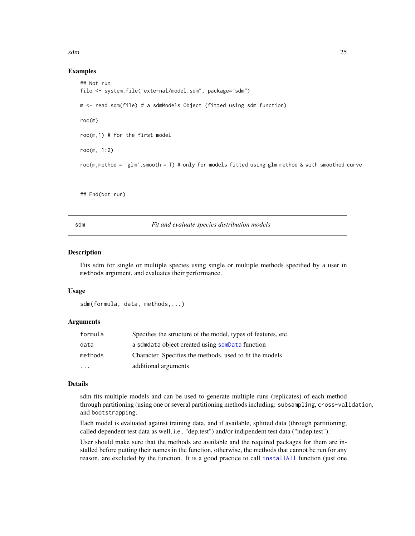<span id="page-24-0"></span>sdm 25

# Examples

```
## Not run:
file <- system.file("external/model.sdm", package="sdm")
m <- read.sdm(file) # a sdmModels Object (fitted using sdm function)
roc(m)
roc(m,1) # for the first model
roc(m, 1:2)
roc(m,method = 'glm',smooth = T) # only for models fitted using glm method & with smoothed curve
```
## End(Not run)

<span id="page-24-1"></span>

sdm *Fit and evaluate species distribution models*

#### Description

Fits sdm for single or multiple species using single or multiple methods specified by a user in methods argument, and evaluates their performance.

#### Usage

sdm(formula, data, methods,...)

#### Arguments

| formula   | Specifies the structure of the model, types of features, etc. |
|-----------|---------------------------------------------------------------|
| data      | a sdmdata object created using sdmData function               |
| methods   | Character. Specifies the methods, used to fit the models      |
| $\ddotsc$ | additional arguments                                          |

#### Details

sdm fits multiple models and can be used to generate multiple runs (replicates) of each method through partitioning (using one or several partitioning methods including: subsampling, cross-validation, and bootstrapping.

Each model is evaluated against training data, and if available, splitted data (through partitioning; called dependent test data as well, i.e., "dep.test") and/or indipendent test data ("indep.test").

User should make sure that the methods are available and the required packages for them are installed before putting their names in the function, otherwise, the methods that cannot be run for any reason, are excluded by the function. It is a good practice to call [installAll](#page-17-1) function (just one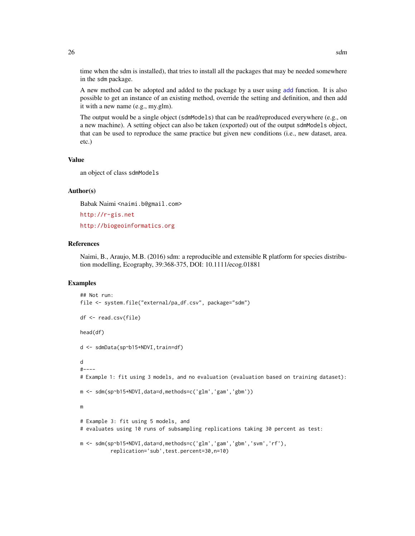time when the sdm is installed), that tries to install all the packages that may be needed somewhere in the sdm package.

A new method can be adopted and added to the package by a user using [add](#page-1-1) function. It is also possible to get an instance of an existing method, override the setting and definition, and then add it with a new name (e.g., my.glm).

The output would be a single object (sdmModels) that can be read/reproduced everywhere (e.g., on a new machine). A setting object can also be taken (exported) out of the output sdmModels object, that can be used to reproduce the same practice but given new conditions (i.e., new dataset, area. etc.)

# Value

an object of class sdmModels

#### Author(s)

Babak Naimi <naimi.b@gmail.com>

<http://r-gis.net> <http://biogeoinformatics.org>

# References

Naimi, B., Araujo, M.B. (2016) sdm: a reproducible and extensible R platform for species distribution modelling, Ecography, 39:368-375, DOI: 10.1111/ecog.01881

# Examples

```
## Not run:
file <- system.file("external/pa_df.csv", package="sdm")
df <- read.csv(file)
head(df)
d <- sdmData(sp~b15+NDVI,train=df)
d
#----
# Example 1: fit using 3 models, and no evaluation (evaluation based on training dataset):
m <- sdm(sp~b15+NDVI,data=d,methods=c('glm','gam','gbm'))
m
# Example 3: fit using 5 models, and
# evaluates using 10 runs of subsampling replications taking 30 percent as test:
m <- sdm(sp~b15+NDVI,data=d,methods=c('glm','gam','gbm','svm','rf'),
          replication='sub',test.percent=30,n=10)
```
<span id="page-25-0"></span>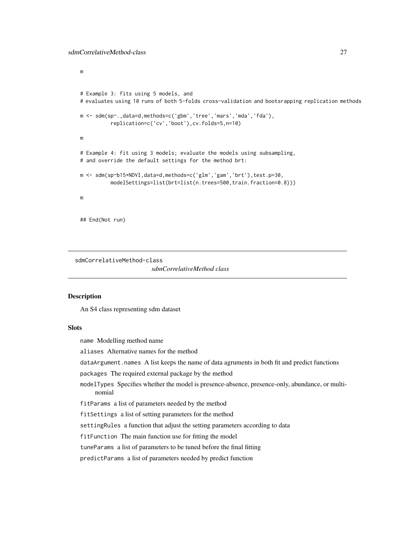<span id="page-26-0"></span>m

```
# Example 3: fits using 5 models, and
# evaluates using 10 runs of both 5-folds cross-validation and bootsrapping replication methods
m <- sdm(sp~.,data=d,methods=c('gbm','tree','mars','mda','fda'),
          replication=c('cv','boot'),cv.folds=5,n=10)
m
# Example 4: fit using 3 models; evaluate the models using subsampling,
# and override the default settings for the method brt:
m <- sdm(sp~b15+NDVI,data=d,methods=c('glm','gam','brt'),test.p=30,
          modelSettings=list(brt=list(n.trees=500,train.fraction=0.8)))
m
## End(Not run)
```
sdmCorrelativeMethod-class

*sdmCorrelativeMethod class*

#### **Description**

An S4 class representing sdm dataset

# **Slots**

name Modelling method name

aliases Alternative names for the method

dataArgument.names A list keeps the name of data agruments in both fit and predict functions

packages The required external package by the method

modelTypes Specifies whether the model is presence-absence, presence-only, abundance, or multinomial

fitParams a list of parameters needed by the method

fitSettings a list of setting parameters for the method

settingRules a function that adjust the setting parameters according to data

fitFunction The main function use for fitting the model

tuneParams a list of parameters to be tuned before the final fitting

predictParams a list of parameters needed by predict function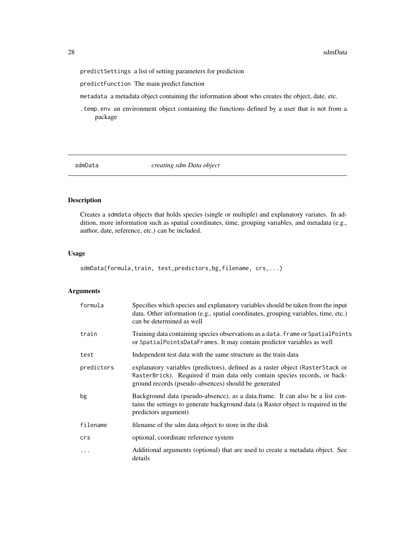<span id="page-27-0"></span>predictSettings a list of setting parameters for prediction

predictFunction The main predict function

metadata a metadata object containing the information about who creates the object, date, etc.

.temp.env an environment object containing the functions defined by a user that is not from a package

<span id="page-27-1"></span>sdmData *creating sdm Data object*

# Description

Creates a sdmdata objects that holds species (single or multiple) and explanatory variates. In addition, more information such as spatial coordinates, time, grouping variables, and metadata (e.g., author, date, reference, etc.) can be included.

# Usage

sdmData(formula,train, test,predictors,bg,filename, crs,...)

# Arguments

| formula    | Specifies which species and explanatory variables should be taken from the input<br>data. Other information (e.g., spatial coordinates, grouping variables, time, etc.)<br>can be determined as well                  |
|------------|-----------------------------------------------------------------------------------------------------------------------------------------------------------------------------------------------------------------------|
| train      | Training data containing species observations as a data. frame or SpatialPoints<br>or SpatialPointsDataFrames. It may contain predictor variables as well                                                             |
| test       | Independent test data with the same structure as the train data                                                                                                                                                       |
| predictors | explanatory variables (predictors), defined as a raster object (RasterStack or<br>RasterBrick). Required if train data only contain species records, or back-<br>ground records (pseudo-absences) should be generated |
| bg         | Background data (pseudo-absence), as a data frame. It can also be a list con-<br>tains the settings to generate background data (a Raster object is required in the<br>predictors argument)                           |
| filename   | filename of the sdm data object to store in the disk                                                                                                                                                                  |
| crs        | optional, coordinate reference system                                                                                                                                                                                 |
| .          | Additional arguments (optional) that are used to create a metadata object. See<br>details                                                                                                                             |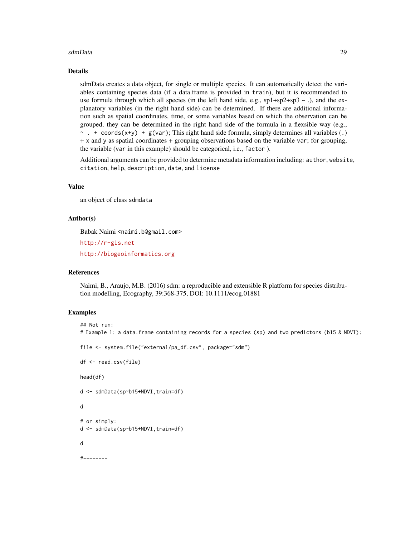#### sdmData 29

#### Details

sdmData creates a data object, for single or multiple species. It can automatically detect the variables containing species data (if a data.frame is provided in train), but it is recommended to use formula through which all species (in the left hand side, e.g.,  $sp1+sp2+sp3 \sim$ .), and the explanatory variables (in the right hand side) can be determined. If there are additional information such as spatial coordinates, time, or some variables based on which the observation can be grouped, they can be determined in the right hand side of the formula in a flexsible way (e.g.,  $\sim$  . + coords(x+y) + g(var); This right hand side formula, simply determines all variables (.) + x and y as spatial coordinates + grouping observations based on the variable var; for grouping, the variable (var in this example) should be categorical, i.e., factor ).

Additional arguments can be provided to determine metadata information including: author, website, citation, help, description, date, and license

# Value

an object of class sdmdata

#### Author(s)

Babak Naimi <naimi.b@gmail.com>

<http://r-gis.net>

<http://biogeoinformatics.org>

# References

Naimi, B., Araujo, M.B. (2016) sdm: a reproducible and extensible R platform for species distribution modelling, Ecography, 39:368-375, DOI: 10.1111/ecog.01881

## Examples

```
## Not run:
# Example 1: a data.frame containing records for a species (sp) and two predictors (b15 & NDVI):
file <- system.file("external/pa_df.csv", package="sdm")
df <- read.csv(file)
head(df)
d <- sdmData(sp~b15+NDVI,train=df)
d
# or simply:
d <- sdmData(sp~b15+NDVI,train=df)
d
#--------
```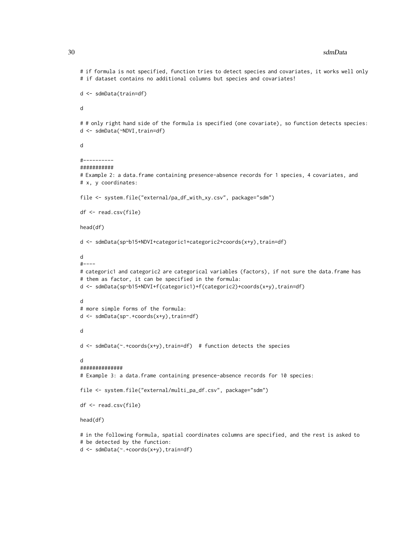#### 30 sdmData and the state of the state of the state of the state of the state of the state of the state of the state of the state of the state of the state of the state of the state of the state of the state of the state of

# if formula is not specified, function tries to detect species and covariates, it works well only # if dataset contains no additional columns but species and covariates!

```
d <- sdmData(train=df)
```
d

# # only right hand side of the formula is specified (one covariate), so function detects species: d <- sdmData(~NDVI,train=df)

d

```
#----------
```

```
###########
```
# Example 2: a data.frame containing presence-absence records for 1 species, 4 covariates, and # x, y coordinates:

file <- system.file("external/pa\_df\_with\_xy.csv", package="sdm")

```
df <- read.csv(file)
```
head(df)

```
d <- sdmData(sp~b15+NDVI+categoric1+categoric2+coords(x+y),train=df)
```
d

```
#----
# categoric1 and categoric2 are categorical variables (factors), if not sure the data.frame has
# them as factor, it can be specified in the formula:
d <- sdmData(sp~b15+NDVI+f(categoric1)+f(categoric2)+coords(x+y),train=df)
d
```
# more simple forms of the formula:

```
d <- sdmData(sp~.+coords(x+y),train=df)
```
d

```
d <- sdmData(~.+coords(x+y),train=df) # function detects the species
```
d

```
##############
```
# Example 3: a data.frame containing presence-absence records for 10 species:

```
file <- system.file("external/multi_pa_df.csv", package="sdm")
```
df <- read.csv(file)

head(df)

# in the following formula, spatial coordinates columns are specified, and the rest is asked to # be detected by the function:

d <- sdmData(~.+coords(x+y),train=df)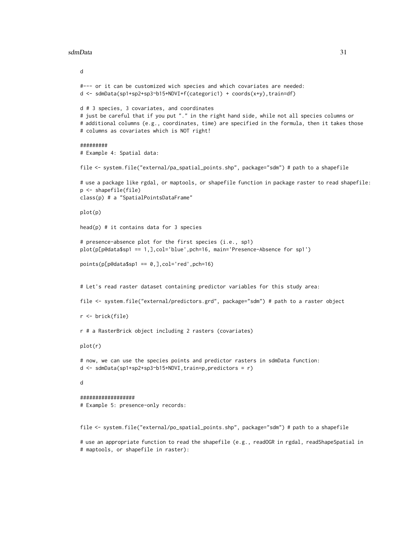#### sdmData 31

```
d
#--- or it can be customized wich species and which covariates are needed:
d <- sdmData(sp1+sp2+sp3~b15+NDVI+f(categoric1) + coords(x+y),train=df)
d # 3 species, 3 covariates, and coordinates
# just be careful that if you put "." in the right hand side, while not all species columns or
# additional columns (e.g., coordinates, time) are specified in the formula, then it takes those
# columns as covariates which is NOT right!
#########
# Example 4: Spatial data:
file <- system.file("external/pa_spatial_points.shp", package="sdm") # path to a shapefile
# use a package like rgdal, or maptools, or shapefile function in package raster to read shapefile:
p <- shapefile(file)
class(p) # a "SpatialPointsDataFrame"
plot(p)
head(p) # it contains data for 3 species
# presence-absence plot for the first species (i.e., sp1)
plot(p[p@data$sp1 == 1,],col='blue',pch=16, main='Presence-Absence for sp1')
points(p[p@data$sp1 == 0,],col='red',pch=16)
# Let's read raster dataset containing predictor variables for this study area:
file <- system.file("external/predictors.grd", package="sdm") # path to a raster object
r <- brick(file)
r # a RasterBrick object including 2 rasters (covariates)
plot(r)
# now, we can use the species points and predictor rasters in sdmData function:
d \le - \text{sdmData}(\text{spl+sp2+sp3\text{-}bl5+NDVI}, \text{train=p}, \text{predictors} = r)d
##################
# Example 5: presence-only records:
file <- system.file("external/po_spatial_points.shp", package="sdm") # path to a shapefile
```
# use an appropriate function to read the shapefile (e.g., readOGR in rgdal, readShapeSpatial in # maptools, or shapefile in raster):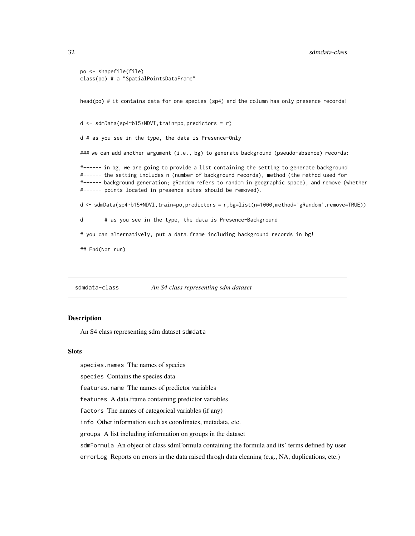#### <span id="page-31-0"></span>32 sdmdata-class

```
po <- shapefile(file)
class(po) # a "SpatialPointsDataFrame"
```
head(po) # it contains data for one species (sp4) and the column has only presence records!

 $d \leq - \text{sdmData}(\text{sp4~b15+NDVI}, \text{train=po}, \text{predictors} = r)$ 

d # as you see in the type, the data is Presence-Only

### we can add another argument (i.e., bg) to generate background (pseudo-absence) records:

#------ in bg, we are going to provide a list containing the setting to generate background #------ the setting includes n (number of background records), method (the method used for #------ background generation; gRandom refers to random in geographic space), and remove (whether #------ points located in presence sites should be removed).

d <- sdmData(sp4~b15+NDVI,train=po,predictors = r,bg=list(n=1000,method='gRandom',remove=TRUE))

d # as you see in the type, the data is Presence-Background

# you can alternatively, put a data.frame including background records in bg!

## End(Not run)

sdmdata-class *An S4 class representing sdm dataset*

# **Description**

An S4 class representing sdm dataset sdmdata

#### **Slots**

species.names The names of species

species Contains the species data

features.name The names of predictor variables

features A data.frame containing predictor variables

factors The names of categorical variables (if any)

info Other information such as coordinates, metadata, etc.

groups A list including information on groups in the dataset

sdmFormula An object of class sdmFormula containing the formula and its' terms defined by user

errorLog Reports on errors in the data raised throgh data cleaning (e.g., NA, duplications, etc.)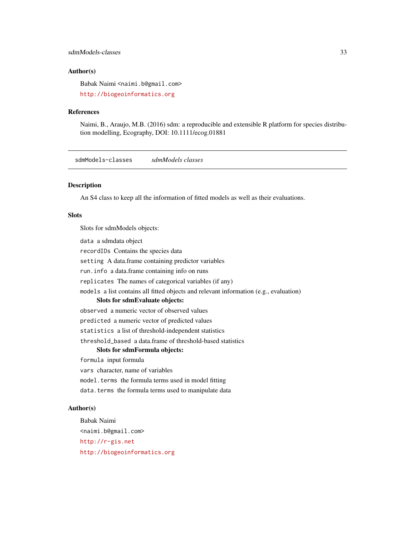# <span id="page-32-0"></span>sdmModels-classes 33

# Author(s)

Babak Naimi <naimi.b@gmail.com>

<http://biogeoinformatics.org>

#### References

Naimi, B., Araujo, M.B. (2016) sdm: a reproducible and extensible R platform for species distribution modelling, Ecography, DOI: 10.1111/ecog.01881

sdmModels-classes *sdmModels classes*

# Description

An S4 class to keep all the information of fitted models as well as their evaluations.

# Slots

Slots for sdmModels objects:

data a sdmdata object

recordIDs Contains the species data

setting A data.frame containing predictor variables

run.info a data.frame containing info on runs

replicates The names of categorical variables (if any)

models a list contains all fitted objects and relevant information (e.g., evaluation)

#### Slots for sdmEvaluate objects:

observed a numeric vector of observed values

predicted a numeric vector of predicted values

statistics a list of threshold-independent statistics

threshold\_based a data.frame of threshold-based statistics

#### Slots for sdmFormula objects:

formula input formula

vars character, name of variables

model.terms the formula terms used in model fitting

data.terms the formula terms used to manipulate data

#### Author(s)

Babak Naimi <naimi.b@gmail.com> <http://r-gis.net> <http://biogeoinformatics.org>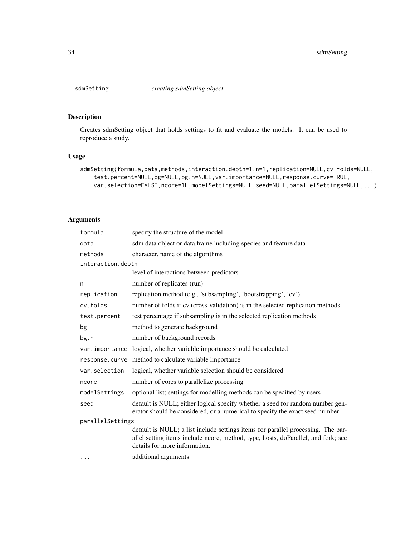<span id="page-33-0"></span>

# Description

Creates sdmSetting object that holds settings to fit and evaluate the models. It can be used to reproduce a study.

# Usage

```
sdmSetting(formula,data,methods,interaction.depth=1,n=1,replication=NULL,cv.folds=NULL,
   test.percent=NULL,bg=NULL,bg.n=NULL,var.importance=NULL,response.curve=TRUE,
   var.selection=FALSE,ncore=1L,modelSettings=NULL,seed=NULL,parallelSettings=NULL,...)
```
# Arguments

| formula           | specify the structure of the model                                                                                                                                                                     |
|-------------------|--------------------------------------------------------------------------------------------------------------------------------------------------------------------------------------------------------|
| data              | sdm data object or data.frame including species and feature data                                                                                                                                       |
| methods           | character, name of the algorithms                                                                                                                                                                      |
| interaction.depth |                                                                                                                                                                                                        |
|                   | level of interactions between predictors                                                                                                                                                               |
| n                 | number of replicates (run)                                                                                                                                                                             |
| replication       | replication method (e.g., 'subsampling', 'bootstrapping', 'cv')                                                                                                                                        |
| cv.folds          | number of folds if cv (cross-validation) is in the selected replication methods                                                                                                                        |
| test.percent      | test percentage if subsampling is in the selected replication methods                                                                                                                                  |
| bg                | method to generate background                                                                                                                                                                          |
| bg.n              | number of background records                                                                                                                                                                           |
| var.importance    | logical, whether variable importance should be calculated                                                                                                                                              |
| response.curve    | method to calculate variable importance                                                                                                                                                                |
| var.selection     | logical, whether variable selection should be considered                                                                                                                                               |
| ncore             | number of cores to parallelize processing                                                                                                                                                              |
| modelSettings     | optional list; settings for modelling methods can be specified by users                                                                                                                                |
| seed              | default is NULL; either logical specify whether a seed for random number gen-<br>erator should be considered, or a numerical to specify the exact seed number                                          |
| parallelSettings  |                                                                                                                                                                                                        |
|                   | default is NULL; a list include settings items for parallel processing. The par-<br>allel setting items include ncore, method, type, hosts, doParallel, and fork; see<br>details for more information. |
| $\cdots$          | additional arguments                                                                                                                                                                                   |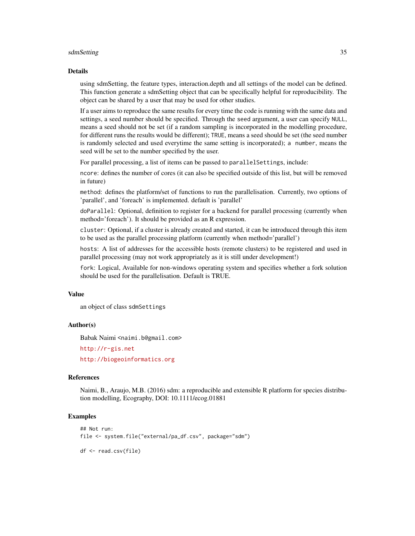#### sdmSetting 35

#### Details

using sdmSetting, the feature types, interaction.depth and all settings of the model can be defined. This function generate a sdmSetting object that can be specifically helpful for reproducibility. The object can be shared by a user that may be used for other studies.

If a user aims to reproduce the same results for every time the code is running with the same data and settings, a seed number should be specified. Through the seed argument, a user can specify NULL, means a seed should not be set (if a random sampling is incorporated in the modelling procedure, for different runs the results would be different); TRUE, means a seed should be set (the seed number is randomly selected and used everytime the same setting is incorporated); a number, means the seed will be set to the number specified by the user.

For parallel processing, a list of items can be passed to parallel Settings, include:

ncore: defines the number of cores (it can also be specified outside of this list, but will be removed in future)

method: defines the platform/set of functions to run the parallelisation. Currently, two options of 'parallel', and 'foreach' is implemented. default is 'parallel'

doParallel: Optional, definition to register for a backend for parallel processing (currently when method='foreach'). It should be provided as an R expression.

cluster: Optional, if a cluster is already created and started, it can be introduced through this item to be used as the parallel processing platform (currently when method='parallel')

hosts: A list of addresses for the accessible hosts (remote clusters) to be registered and used in parallel processing (may not work appropriately as it is still under development!)

fork: Logical, Available for non-windows operating system and specifies whether a fork solution should be used for the parallelisation. Default is TRUE.

#### Value

an object of class sdmSettings

#### Author(s)

Babak Naimi <naimi.b@gmail.com>

<http://r-gis.net>

<http://biogeoinformatics.org>

#### References

Naimi, B., Araujo, M.B. (2016) sdm: a reproducible and extensible R platform for species distribution modelling, Ecography, DOI: 10.1111/ecog.01881

# Examples

```
## Not run:
file <- system.file("external/pa_df.csv", package="sdm")
df <- read.csv(file)
```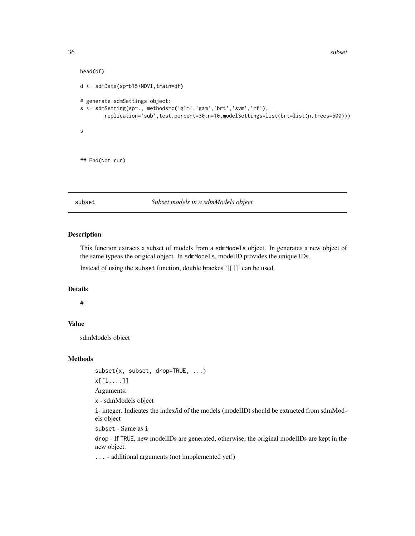<span id="page-35-0"></span>36 subset and the subset of the subset of the subset of the subset of the subset of the subset of the subset of the subset of the subset of the subset of the subset of the subset of the subset of the subset of the subset o

```
head(df)
d <- sdmData(sp~b15+NDVI,train=df)
# generate sdmSettings object:
s <- sdmSetting(sp~., methods=c('glm','gam','brt','svm','rf'),
        replication='sub',test.percent=30,n=10,modelSettings=list(brt=list(n.trees=500)))
s
## End(Not run)
```
# subset *Subset models in a sdmModels object*

# Description

This function extracts a subset of models from a sdmModels object. In generates a new object of the same typeas the origical object. In sdmModels, modelID provides the unique IDs.

Instead of using the subset function, double brackes '[[ ]]' can be used.

#### Details

#

# Value

sdmModels object

#### Methods

subset(x, subset, drop=TRUE, ...)

x[[i,...]]

Arguments:

x - sdmModels object

i- integer. Indicates the index/id of the models (modelID) should be extracted from sdmModels object

subset - Same as i

drop - If TRUE, new modelIDs are generated, otherwise, the original modelIDs are kept in the new object.

... - additional arguments (not impplemented yet!)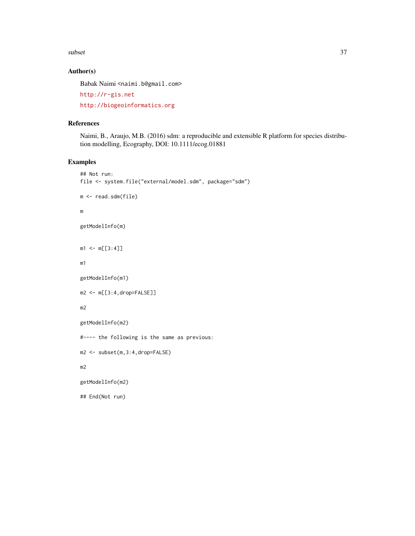subset 37

# Author(s)

Babak Naimi <naimi.b@gmail.com>

<http://r-gis.net>

<http://biogeoinformatics.org>

# References

Naimi, B., Araujo, M.B. (2016) sdm: a reproducible and extensible R platform for species distribution modelling, Ecography, DOI: 10.1111/ecog.01881

# Examples

```
## Not run:
file <- system.file("external/model.sdm", package="sdm")
m <- read.sdm(file)
m
getModelInfo(m)
m1 < -m[[3:4]]m1
getModelInfo(m1)
m2 <- m[[3:4,drop=FALSE]]
m2
getModelInfo(m2)
#---- the following is the same as previous:
m2 <- subset(m,3:4,drop=FALSE)
m2
getModelInfo(m2)
## End(Not run)
```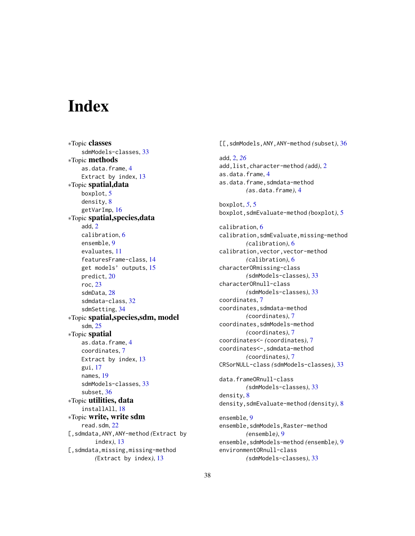# <span id="page-37-0"></span>**Index**

∗Topic classes sdmModels-classes, [33](#page-32-0) ∗Topic methods as.data.frame, [4](#page-3-0) Extract by index, [13](#page-12-0) ∗Topic spatial,data boxplot, [5](#page-4-0) density, [8](#page-7-0) getVarImp, [16](#page-15-0) ∗Topic spatial,species,data add, [2](#page-1-0) calibration, [6](#page-5-0) ensemble, [9](#page-8-0) evaluates, [11](#page-10-0) featuresFrame-class, [14](#page-13-0) get models' outputs, [15](#page-14-0) predict, [20](#page-19-0) roc, [23](#page-22-0) sdmData, [28](#page-27-0) sdmdata-class, [32](#page-31-0) sdmSetting, [34](#page-33-0) ∗Topic spatial,species,sdm, model sdm, [25](#page-24-0) ∗Topic spatial as.data.frame, [4](#page-3-0) coordinates, [7](#page-6-0) Extract by index, [13](#page-12-0) gui, [17](#page-16-0) names, [19](#page-18-0) sdmModels-classes, [33](#page-32-0) subset, [36](#page-35-0) ∗Topic utilities, data installAll, [18](#page-17-0) ∗Topic write, write sdm read.sdm, [22](#page-21-0) [,sdmdata,ANY,ANY-method *(*Extract by index*)*, [13](#page-12-0) [, sdmdata, missing, missing-method *(*Extract by index*)*, [13](#page-12-0)

[[,sdmModels,ANY,ANY-method *(*subset*)*, [36](#page-35-0) add, [2,](#page-1-0) *[26](#page-25-0)* add,list,character-method *(*add*)*, [2](#page-1-0) as.data.frame, [4](#page-3-0) as.data.frame,sdmdata-method *(*as.data.frame*)*, [4](#page-3-0) boxplot, *[5](#page-4-0)*, [5](#page-4-0) boxplot,sdmEvaluate-method *(*boxplot*)*, [5](#page-4-0) calibration, [6](#page-5-0) calibration,sdmEvaluate,missing-method *(*calibration*)*, [6](#page-5-0) calibration,vector,vector-method *(*calibration*)*, [6](#page-5-0) characterORmissing-class *(*sdmModels-classes*)*, [33](#page-32-0) characterORnull-class *(*sdmModels-classes*)*, [33](#page-32-0) coordinates, [7](#page-6-0) coordinates,sdmdata-method *(*coordinates*)*, [7](#page-6-0) coordinates,sdmModels-method *(*coordinates*)*, [7](#page-6-0) coordinates<- *(*coordinates*)*, [7](#page-6-0) coordinates<-,sdmdata-method *(*coordinates*)*, [7](#page-6-0) CRSorNULL-class *(*sdmModels-classes*)*, [33](#page-32-0) data.frameORnull-class *(*sdmModels-classes*)*, [33](#page-32-0) density, [8](#page-7-0) density,sdmEvaluate-method *(*density*)*, [8](#page-7-0) ensemble, [9](#page-8-0) ensemble,sdmModels,Raster-method *(*ensemble*)*, [9](#page-8-0) ensemble,sdmModels-method *(*ensemble*)*, [9](#page-8-0) environmentORnull-class

*(*sdmModels-classes*)*, [33](#page-32-0)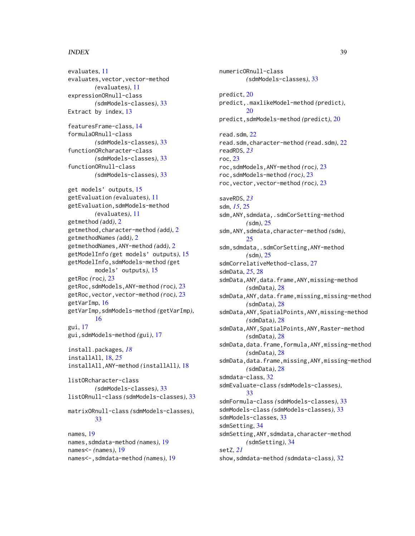#### INDEX  $39$

evaluates, [11](#page-10-0) evaluates,vector,vector-method *(*evaluates*)*, [11](#page-10-0) expressionORnull-class *(*sdmModels-classes*)*, [33](#page-32-0) Extract by index, [13](#page-12-0) featuresFrame-class, [14](#page-13-0) formulaORnull-class *(*sdmModels-classes*)*, [33](#page-32-0) functionORcharacter-class *(*sdmModels-classes*)*, [33](#page-32-0) functionORnull-class *(*sdmModels-classes*)*, [33](#page-32-0) get models' outputs, [15](#page-14-0) getEvaluation *(*evaluates*)*, [11](#page-10-0) getEvaluation,sdmModels-method *(*evaluates*)*, [11](#page-10-0) getmethod *(*add*)*, [2](#page-1-0) getmethod,character-method *(*add*)*, [2](#page-1-0) getmethodNames *(*add*)*, [2](#page-1-0) getmethodNames,ANY-method *(*add*)*, [2](#page-1-0) getModelInfo *(*get models' outputs*)*, [15](#page-14-0) getModelInfo,sdmModels-method *(*get models' outputs*)*, [15](#page-14-0) getRoc *(*roc*)*, [23](#page-22-0) getRoc,sdmModels,ANY-method *(*roc*)*, [23](#page-22-0) getRoc,vector,vector-method *(*roc*)*, [23](#page-22-0) getVarImp, [16](#page-15-0) getVarImp,sdmModels-method *(*getVarImp*)*, [16](#page-15-0) gui, [17](#page-16-0) gui,sdmModels-method *(*gui*)*, [17](#page-16-0) install.packages, *[18](#page-17-0)* installAll, [18,](#page-17-0) *[25](#page-24-0)* installAll,ANY-method *(*installAll*)*, [18](#page-17-0) listORcharacter-class *(*sdmModels-classes*)*, [33](#page-32-0) listORnull-class *(*sdmModels-classes*)*, [33](#page-32-0) matrixORnull-class *(*sdmModels-classes*)*, [33](#page-32-0) names, [19](#page-18-0) names,sdmdata-method *(*names*)*, [19](#page-18-0) names<- *(*names*)*, [19](#page-18-0) names<-,sdmdata-method *(*names*)*, [19](#page-18-0)

numericORnull-class *(*sdmModels-classes*)*, [33](#page-32-0) predict, [20](#page-19-0) predict,.maxlikeModel-method *(*predict*)*, [20](#page-19-0) predict,sdmModels-method *(*predict*)*, [20](#page-19-0) read.sdm, [22](#page-21-0) read.sdm,character-method *(*read.sdm*)*, [22](#page-21-0) readRDS, *[23](#page-22-0)* roc, [23](#page-22-0) roc,sdmModels,ANY-method *(*roc*)*, [23](#page-22-0) roc,sdmModels-method *(*roc*)*, [23](#page-22-0) roc,vector,vector-method *(*roc*)*, [23](#page-22-0) saveRDS, *[23](#page-22-0)* sdm, *[15](#page-14-0)*, [25](#page-24-0) sdm, ANY, sdmdata, .sdmCorSetting-method *(*sdm*)*, [25](#page-24-0) sdm,ANY,sdmdata,character-method *(*sdm*)*, [25](#page-24-0) sdm,sdmdata,.sdmCorSetting,ANY-method *(*sdm*)*, [25](#page-24-0) sdmCorrelativeMethod-class, [27](#page-26-0) sdmData, *[25](#page-24-0)*, [28](#page-27-0) sdmData, ANY, data.frame, ANY, missing-method *(*sdmData*)*, [28](#page-27-0) sdmData,ANY,data.frame,missing,missing-method *(*sdmData*)*, [28](#page-27-0) sdmData,ANY,SpatialPoints,ANY,missing-method *(*sdmData*)*, [28](#page-27-0) sdmData,ANY,SpatialPoints,ANY,Raster-method *(*sdmData*)*, [28](#page-27-0) sdmData,data.frame,formula,ANY,missing-method *(*sdmData*)*, [28](#page-27-0) sdmData,data.frame,missing,ANY,missing-method *(*sdmData*)*, [28](#page-27-0) sdmdata-class, [32](#page-31-0) sdmEvaluate-class *(*sdmModels-classes*)*, [33](#page-32-0) sdmFormula-class *(*sdmModels-classes*)*, [33](#page-32-0) sdmModels-class *(*sdmModels-classes*)*, [33](#page-32-0) sdmModels-classes, [33](#page-32-0) sdmSetting, [34](#page-33-0) sdmSetting, ANY, sdmdata, character-method *(*sdmSetting*)*, [34](#page-33-0) setZ, *[21](#page-20-0)* show,sdmdata-method *(*sdmdata-class*)*, [32](#page-31-0)